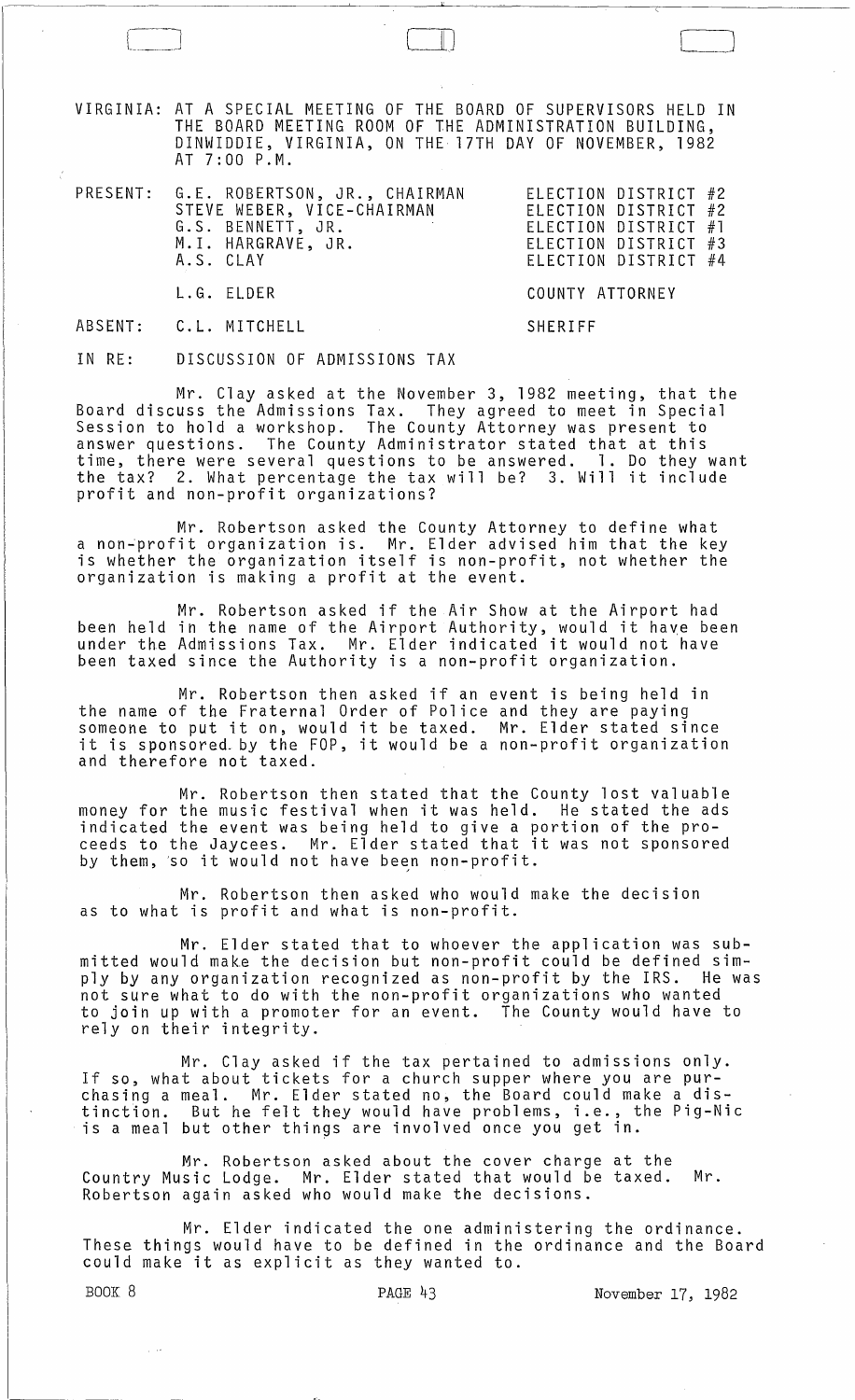VIRGINIA: AT A SPECIAL MEETING OF THE BOARD OF SUPERVISORS HELD IN THE BOARD MEETING ROOM OF THE ADMINISTRATION BUILDING, DINWIDDIE, VIRGINIA, ON THE 17TH DAY OF NOVEMBER, 1982 AT 7:00 P.M.

 $\Box$ 

| PRESENT: G.E. ROBERTSON, JR., CHAIRMAN<br>STEVE WEBER, VICE-CHAIRMAN<br>G.S. BENNETT, JR.<br>M.I. HARGRAVE, JR.<br>A.S. CLAY | ELECTION DISTRICT #2<br>ELECTION DISTRICT #2<br>ELECTION DISTRICT #1<br>ELECTION DISTRICT #3<br>ELECTION DISTRICT #4 |
|------------------------------------------------------------------------------------------------------------------------------|----------------------------------------------------------------------------------------------------------------------|
| L.G. ELDER                                                                                                                   | COUNTY ATTORNEY                                                                                                      |
| ABSENT: C.L. MITCHELL                                                                                                        | SHERIFF                                                                                                              |

IN RE: DISCUSSION OF ADMISSIONS TAX

Mr. Clay asked at the November 3, 1982 meeting, that the Board discuss the Admissions Tax. They agreed to meet in Special Session to hold a workshop. The County Attorney was present to answer questions. The County Administrator stated that at this time, there were several questions to be answered. 1. Do they want the tax? 2. What percentage the tax will be? 3. Will it include profit and non-profit organizations?

Mr. Robertson asked the County Attorney to define what a non~profit organization is. Mr. Elder advised him that the key is whether the organization itself is non-profit, not whether the organization is making a profit at the event.

Mr. Robertson asked if the Air Show at the Airport had been held in the name of the Airport Authority, would it have been under the Admissions Tax. Mr. Elder indicated it would not have been taxed since the Authority is a non-profit organization.

Mr. Robertson then asked if an event is being held in the name of the Fraternal Order of Police and they are paying someone to put it on, would it be taxed. Mr. Elder stated since someone to put it on, would it be taxed. In: Elder stated since<br>it is sponsored by the FOP, it would be a non-profit organization and therefore not taxed.

Mr. Robertson then stated that the County lost valuable money for the music festival when it was held. He stated the ads indicated the event was being held to give a portion of the proceeds to the Jaycees. Mr. Elder stated that it was not sponsored by them, 'so it would not have been non-profit.

Mr. Robertson then asked who would make the decision as to what is profit and what is non-profit.

Mr. Elder stated that to whoever the application was submitted would make the decision but non-profit could be defined simply by any organization recognized as non-profit by the IRS. He was not sure what to do with the non-profit organizations who wanted to join up with a promoter for an event. The County would have to rely on their integrity.

Mr. Clay asked if the tax pertained to admissions only. If so, what about tickets for a church supper where you are purchasing a meal. Mr. Elder stated no, the Board could make a distinction. But he felt they would have problems, i.e., the Pig-Nic is a meal but other things are involved once you get in.

Mr. Robertson asked about the cover charge at the Country Music Lodge. Mr. Elder stated that would be taxed. Mr. Robertson again asked who would make the decisions.

Mr. Elder indicated the one administering the ordinance. These things would have to be defined in the ordinance and the Board could make it as explicit as they wanted to.

BOOK 8 PAGE 43 PAGE 43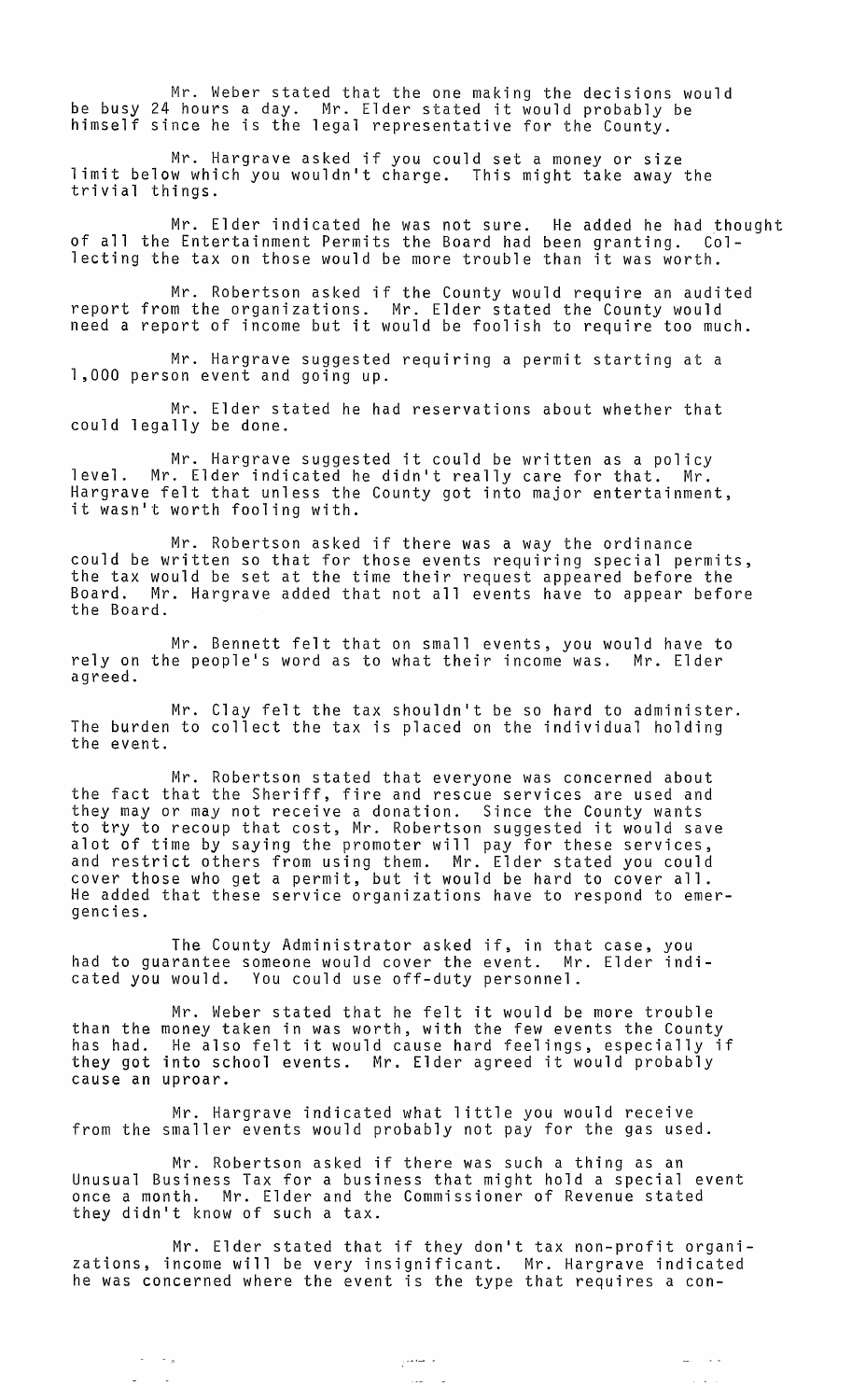Mr. Weber stated that the one making the decisions would be busy 24 hours a day. Mr. Elder stated it would probably be himself since he is the legal representative for the County.

Mr. Hargrave asked if you could set a money or size limit below which you wouldn't charge. This might take away the trivial things.

Mr. Elder indicated he was not sure. He added he had thought of all the Entertainment Permits the Board had been granting. Collecting the tax on those would be more trouble than it was worth.

Mr. Robertson asked if the County would require an audited report from the organizations. Mr. Elder stated the County would need a report of income but it would be foolish to require too much.

Mr. Hargrave suggested requiring a permit starting at a 1,000 person event and going up.

Mr. Elder stated he had reservations about whether that could legally be done.

Mr. Hargrave suggested it could be written as a policy level. Mr. Elder indicated he didn't really care for that. Mr. Hargrave felt that unless the County got into major entertainment, it wasn't worth fooling with.

Mr. Robertson asked if there was a way the ordinance could be written so that for those events requiring special permits, the tax would be set at the time their request appeared before the Board. Mr. Hargrave added that not all events have to appear before the Board.

Mr. Bennett felt that on small events, you would have to rely on the people's word as to what their income was. Mr. Elder agreed.

Mr. Clay felt the tax shouldn't be so hard to administer. The burden to collect the tax is placed on the individual holding the event.

Mr. Robertson stated that *everyone* was concerned about the fact that the Sheriff, fire and rescue services are used and they mayor may not receive a donation. Since the County wants to try to recoup that cost, Mr. Robertson suggested it would save alot of time by saying the promoter will pay for these services, and restrict others from using them. Mr. Elder stated you could cover those who get a permit, but it would be hard to cover all. He added that these service organizations have to respond to emergencies.

The County Administrator asked if, in that case, you had to guarantee someone would cover the event. Mr. Elder indicated you would. You could use off-duty personnel.

than the has had. they got into school events. Mr. Elder agreed it would probably Mr. Weber stated that he felt it would be more trouble money taken in was worth, with the few events the County He also felt it would cause hard feelings, especially if cause an uproar.

Mr. Hargrave indicated what little you would receive from the smaller events would probably not pay for the gas used.

Mr. Robertson asked if there was such a thing as an Unusual Business Tax for a business that might hold a special event once a month. Mr. Elder and the Commissioner of Revenue stated they didn't know of such a tax.

Mr. Elder stated that if they don't tax non-profit organizations, income will be *very* insignificant. Mr. Hargrave indicated he was concerned where the event is the type that requires a con-

> المستحير ر<br>مان المدة

 $\Delta\omega_{\rm{eff}}=0.15\,\omega$ 

 $\mathbb{Z}^2$  .  $\mathbb{Z}^2$  ,  $\mathbb{Z}^2$ 

 $\sim$   $\sim$   $\sim$   $_{\pi}$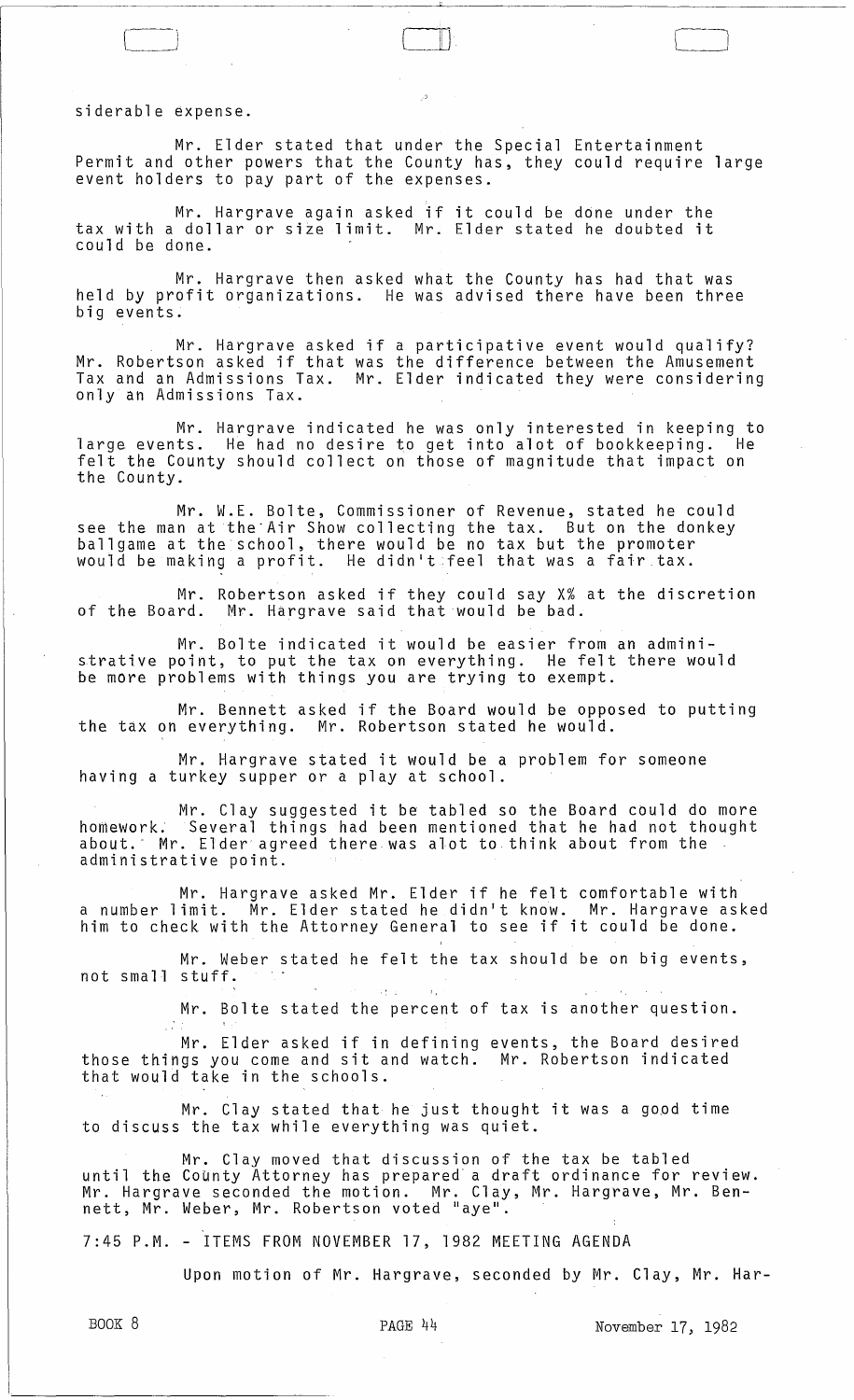siderable expense.

 $\mathcal{L} \leftarrow \mathcal{L}$ 

i l

Mr. Elder stated that under the Special Entertainment Permit and other powers that the County has, they could require large event holders to pay part of the expenses.

-- [ \_\_ J

Mr. Hargrave again asked if it could be ddne under the tax with a dollar or size limit. Mr. Elder stated he doubted it could be done.

Mr. Hargrave then asked what the County has had that was held by profit organizations. He was advised there have been three big events.

Mr. Hargrave asked if a participative event would qualify? Mr. Robertson asked if that was the difference between the Amusement Tax and an Admissions Tax. Mr. Elder indicated they were considering only an Admissions Tax.

Mr. Hargrave indicated he was only interested in keeping to large events. He had no desire to get into alot of bookkeeping. He felt the County should collect on those of magnitude that impact on the County.

Mr. W.E. Bolte, Commissioner of Revenue, stated he could see the man at the'Air Show collecting the tax. But on the donkey ballgame at the school, there would be no tax but the promoter bailgame as she senson, shere would be no sax bas one promose.<br>Would be making a profit. He didn't feel that was a fair tax.

Mr. Robertson asked if they could say X% at the discretion of the Board. Mr. Hargrave said that would be bad.

Mr. Bolte indicated it would be easier from an administrative point, to put the tax on everything. He felt there would be more problems with things you are trying to exempt.

Mr. Bennett asked if the Board would be opposed to putting the tax on everything. Mr. Robertson stated he would.

Mr. Hargrave stated it would be a problem for someone having a turkey supper or a play at school.

Mr. Clay suggested it be tabled so the Board could do more homework. Several things had been mentioned that he had not thought about." Mr. Elder' agreed there was alot to think about from the administrative point.

Mr. Hargrave asked Mr. Elder if he felt comfortable with a number limit. Mr. Elder stated he didn't know. Mr. Hargrave asked him to check with the Attorney General to see if it could be done.

Mr. Weber stated he felt the tax should be on big events, not small stuff.

 $\mathcal{L}_{\mathcal{L}}$ 

Mr. Bolte stated the percent of tax is another question.

Mr. Elder asked if in defining events, the Board desired those things you come and sit and watch. Mr. Robertson indicated that would take in the schools.

Mr. Clay stated that he just thought it was a good time to discuss the tax while everything was quiet.

Mr. Clay moved that discussion of the tax be tabled until the County Attorney has prepared- a draft ordinance for review. mr. Hargrave seconded the motion. Mr. Clay, Mr. Hargrave, Mr. Bennett, Mr. Weber, Mr. Robertson voted "aye".

7:45 P.M. - ITEMS FROM NOVEMBER 17, 1982 MEETING AGENDA

Upon motion of Mr. Hargrave, seconded by Mr. Clay, Mr. Har-

τŻ